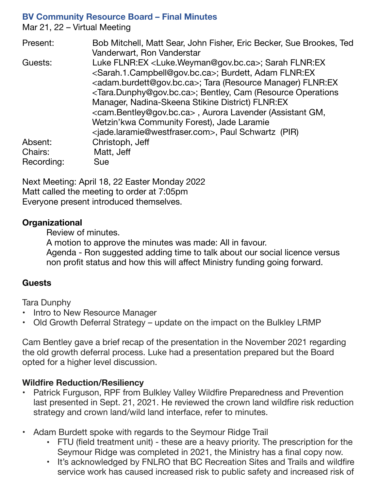### **BV Community Resource Board – Final Minutes**

Mar 21, 22 – Virtual Meeting

| Present:   | Bob Mitchell, Matt Sear, John Fisher, Eric Becker, Sue Brookes, Ted                |
|------------|------------------------------------------------------------------------------------|
|            | Vanderwart, Ron Vanderstar                                                         |
| Guests:    | Luke FLNR:EX <luke.weyman@gov.bc.ca>; Sarah FLNR:EX</luke.weyman@gov.bc.ca>        |
|            | <sarah.1.campbell@gov.bc.ca>; Burdett, Adam FLNR:EX</sarah.1.campbell@gov.bc.ca>   |
|            | <adam.burdett@gov.bc.ca>; Tara (Resource Manager) FLNR:EX</adam.burdett@gov.bc.ca> |
|            | <tara.dunphy@gov.bc.ca>; Bentley, Cam (Resource Operations</tara.dunphy@gov.bc.ca> |
|            | Manager, Nadina-Skeena Stikine District) FLNR:EX                                   |
|            | <cam.bentley@gov.bc.ca>, Aurora Lavender (Assistant GM,</cam.bentley@gov.bc.ca>    |
|            | Wetzin'kwa Community Forest), Jade Laramie                                         |
|            | <jade.laramie@westfraser.com>, Paul Schwartz (PIR)</jade.laramie@westfraser.com>   |
| Absent:    | Christoph, Jeff                                                                    |
| Chairs:    | Matt, Jeff                                                                         |
| Recording: | Sue                                                                                |

Next Meeting: April 18, 22 Easter Monday 2022 Matt called the meeting to order at 7:05pm Everyone present introduced themselves.

### **Organizational**

Review of minutes.

A motion to approve the minutes was made: All in favour. Agenda - Ron suggested adding time to talk about our social licence versus non profit status and how this will affect Ministry funding going forward.

# **Guests**

Tara Dunphy

- Intro to New Resource Manager
- Old Growth Deferral Strategy update on the impact on the Bulkley LRMP

Cam Bentley gave a brief recap of the presentation in the November 2021 regarding the old growth deferral process. Luke had a presentation prepared but the Board opted for a higher level discussion.

# **Wildfire Reduction/Resiliency**

- Patrick Furguson, RPF from Bulkley Valley Wildfire Preparedness and Prevention last presented in Sept. 21, 2021. He reviewed the crown land wildfire risk reduction strategy and crown land/wild land interface, refer to minutes.
- Adam Burdett spoke with regards to the Seymour Ridge Trail
	- FTU (field treatment unit) these are a heavy priority. The prescription for the Seymour Ridge was completed in 2021, the Ministry has a final copy now.
	- It's acknowledged by FNLRO that BC Recreation Sites and Trails and wildfire service work has caused increased risk to public safety and increased risk of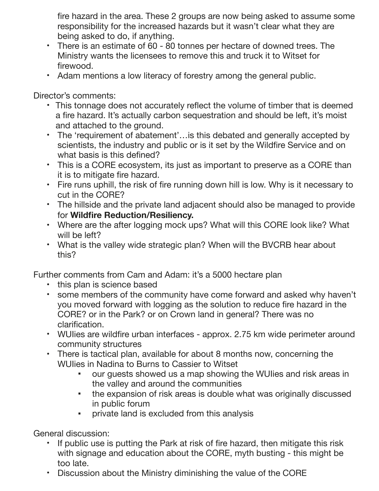fire hazard in the area. These 2 groups are now being asked to assume some responsibility for the increased hazards but it wasn't clear what they are being asked to do, if anything.

- There is an estimate of 60 80 tonnes per hectare of downed trees. The Ministry wants the licensees to remove this and truck it to Witset for firewood.
- Adam mentions a low literacy of forestry among the general public.

Director's comments:

- This tonnage does not accurately reflect the volume of timber that is deemed a fire hazard. It's actually carbon sequestration and should be left, it's moist and attached to the ground.
- The 'requirement of abatement'…is this debated and generally accepted by scientists, the industry and public or is it set by the Wildfire Service and on what basis is this defined?
- This is a CORE ecosystem, its just as important to preserve as a CORE than it is to mitigate fire hazard.
- Fire runs uphill, the risk of fire running down hill is low. Why is it necessary to cut in the CORE?
- The hillside and the private land adjacent should also be managed to provide for **Wildfire Reduction/Resiliency.**
- Where are the after logging mock ups? What will this CORE look like? What will be left?
- What is the valley wide strategic plan? When will the BVCRB hear about this?

Further comments from Cam and Adam: it's a 5000 hectare plan

- this plan is science based
- some members of the community have come forward and asked why haven't you moved forward with logging as the solution to reduce fire hazard in the CORE? or in the Park? or on Crown land in general? There was no clarification.
- WUIies are wildfire urban interfaces approx. 2.75 km wide perimeter around community structures
- There is tactical plan, available for about 8 months now, concerning the WUIies in Nadina to Burns to Cassier to Witset
	- our guests showed us a map showing the WUIIes and risk areas in the valley and around the communities
	- the expansion of risk areas is double what was originally discussed in public forum
	- private land is excluded from this analysis

General discussion:

- If public use is putting the Park at risk of fire hazard, then mitigate this risk with signage and education about the CORE, myth busting - this might be too late.
- Discussion about the Ministry diminishing the value of the CORE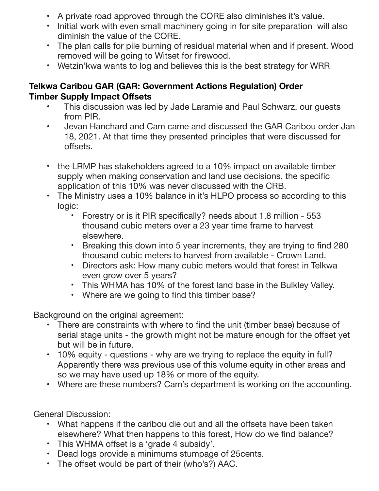- A private road approved through the CORE also diminishes it's value.
- Initial work with even small machinery going in for site preparation will also diminish the value of the CORE.
- The plan calls for pile burning of residual material when and if present. Wood removed will be going to Witset for firewood.
- Wetzin'kwa wants to log and believes this is the best strategy for WRR

## **Telkwa Caribou GAR (GAR: Government Actions Regulation) Order Timber Supply Impact Offsets**

- This discussion was led by Jade Laramie and Paul Schwarz, our guests from PIR.
- Jevan Hanchard and Cam came and discussed the GAR Caribou order Jan 18, 2021. At that time they presented principles that were discussed for offsets.
- the LRMP has stakeholders agreed to a 10% impact on available timber supply when making conservation and land use decisions, the specific application of this 10% was never discussed with the CRB.
- The Ministry uses a 10% balance in it's HLPO process so according to this logic:
	- Forestry or is it PIR specifically? needs about 1.8 million 553 thousand cubic meters over a 23 year time frame to harvest elsewhere.
	- Breaking this down into 5 year increments, they are trying to find 280 thousand cubic meters to harvest from available - Crown Land.
	- Directors ask: How many cubic meters would that forest in Telkwa even grow over 5 years?
	- This WHMA has 10% of the forest land base in the Bulkley Valley.
	- Where are we going to find this timber base?

Background on the original agreement:

- There are constraints with where to find the unit (timber base) because of serial stage units - the growth might not be mature enough for the offset yet but will be in future.
- 10% equity questions why are we trying to replace the equity in full? Apparently there was previous use of this volume equity in other areas and so we may have used up 18% or more of the equity.
- Where are these numbers? Cam's department is working on the accounting.

General Discussion:

- What happens if the caribou die out and all the offsets have been taken elsewhere? What then happens to this forest, How do we find balance?
- This WHMA offset is a 'grade 4 subsidy'.
- Dead logs provide a minimums stumpage of 25cents.
- The offset would be part of their (who's?) AAC.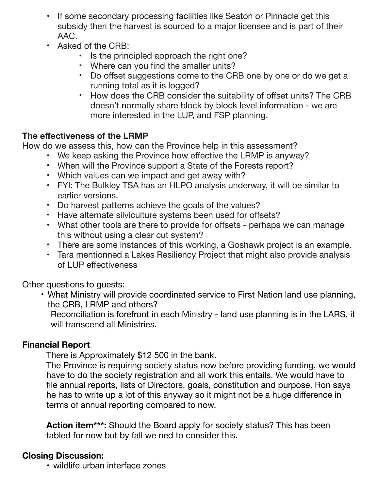- If some secondary processing facilities like Seaton or Pinnacle get this subsidy then the harvest is sourced to a major licensee and is part of their AAC.
- Asked of the CRB:
	- Is the principled approach the right one?
	- Where can you find the smaller units?
	- Do offset suggestions come to the CRB one by one or do we get a running total as it is logged?
	- How does the CRB consider the suitability of offset units? The CRB doesn't normally share block by block level information - we are more interested in the LUP, and FSP planning.

## **The effectiveness of the LRMP**

How do we assess this, how can the Province help in this assessment?

- We keep asking the Province how effective the LRMP is anyway?
- When will the Province support a State of the Forests report?
- Which values can we impact and get away with?
- FYI: The Bulkley TSA has an HLPO analysis underway, it will be similar to earlier versions.
- Do harvest patterns achieve the goals of the values?
- Have alternate silviculture systems been used for offsets?
- What other tools are there to provide for offsets perhaps we can manage this without using a clear cut system?
- There are some instances of this working, a Goshawk project is an example.
- Tara mentionned a Lakes Resiliency Project that might also provide analysis of LUP effectiveness

Other questions to guests:

• What Ministry will provide coordinated service to First Nation land use planning, the CRB, LRMP and others?

Reconciliation is forefront in each Ministry - land use planning is in the LARS, it will transcend all Ministries.

### **Financial Report**

There is Approximately \$12 500 in the bank.

The Province is requiring society status now before providing funding, we would have to do the society registration and all work this entails. We would have to file annual reports, lists of Directors, goals, constitution and purpose. Ron says he has to write up a lot of this anyway so it might not be a huge difference in terms of annual reporting compared to now.

Action item<sup>\*\*\*</sup>: Should the Board apply for society status? This has been tabled for now but by fall we ned to consider this.

### **Closing Discussion:**

• wildlife urban interface zones